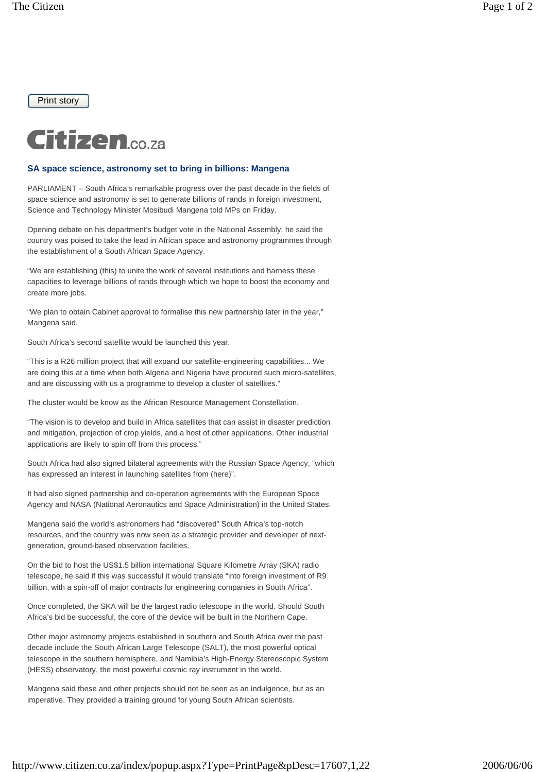Print story



## **SA space science, astronomy set to bring in billions: Mangena**

PARLIAMENT – South Africa's remarkable progress over the past decade in the fields of space science and astronomy is set to generate billions of rands in foreign investment, Science and Technology Minister Mosibudi Mangena told MPs on Friday.

Opening debate on his department's budget vote in the National Assembly, he said the country was poised to take the lead in African space and astronomy programmes through the establishment of a South African Space Agency.

"We are establishing (this) to unite the work of several institutions and harness these capacities to leverage billions of rands through which we hope to boost the economy and create more jobs.

"We plan to obtain Cabinet approval to formalise this new partnership later in the year," Mangena said.

South Africa's second satellite would be launched this year.

"This is a R26 million project that will expand our satellite-engineering capabilities... We are doing this at a time when both Algeria and Nigeria have procured such micro-satellites, and are discussing with us a programme to develop a cluster of satellites."

The cluster would be know as the African Resource Management Constellation.

"The vision is to develop and build in Africa satellites that can assist in disaster prediction and mitigation, projection of crop yields, and a host of other applications. Other industrial applications are likely to spin off from this process."

South Africa had also signed bilateral agreements with the Russian Space Agency, "which has expressed an interest in launching satellites from (here)".

It had also signed partnership and co-operation agreements with the European Space Agency and NASA (National Aeronautics and Space Administration) in the United States.

Mangena said the world's astronomers had "discovered" South Africa's top-notch resources, and the country was now seen as a strategic provider and developer of nextgeneration, ground-based observation facilities.

On the bid to host the US\$1.5 billion international Square Kilometre Array (SKA) radio telescope, he said if this was successful it would translate "into foreign investment of R9 billion, with a spin-off of major contracts for engineering companies in South Africa".

Once completed, the SKA will be the largest radio telescope in the world. Should South Africa's bid be successful, the core of the device will be built in the Northern Cape.

Other major astronomy projects established in southern and South Africa over the past decade include the South African Large Telescope (SALT), the most powerful optical telescope in the southern hemisphere, and Namibia's High-Energy Stereoscopic System (HESS) observatory, the most powerful cosmic ray instrument in the world.

Mangena said these and other projects should not be seen as an indulgence, but as an imperative. They provided a training ground for young South African scientists.